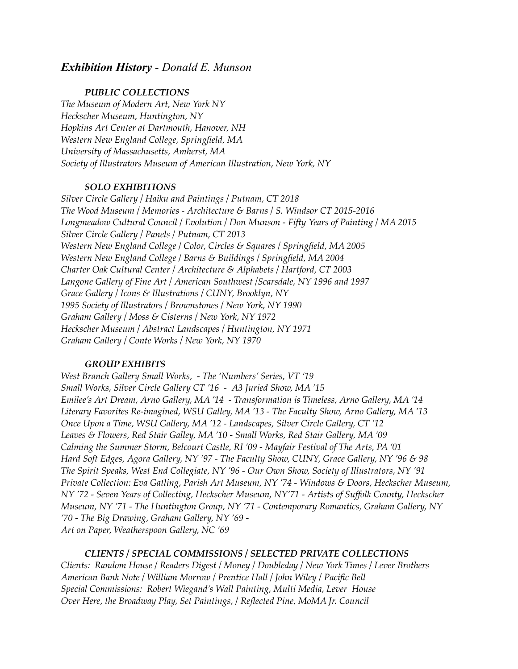# *Exhibition History - Donald E. Munson*

#### *PUBLIC COLLECTIONS*

*The Museum of Modern Art, New York NY Heckscher Museum, Huntington, NY Hopkins Art Center at Dartmouth, Hanover, NH Western New England College, Springfield, MA University of Massachusetts, Amherst, MA Society of Illustrators Museum of American Illustration, New York, NY*

### *SOLO EXHIBITIONS*

*Silver Circle Gallery / Haiku and Paintings / Putnam, CT 2018 The Wood Museum / Memories - Architecture & Barns / S. Windsor CT 2015-2016 Longmeadow Cultural Council / Evolution / Don Munson - Fifty Years of Painting / MA 2015 Silver Circle Gallery / Panels / Putnam, CT 2013 Western New England College / Color, Circles & Squares / Springfield, MA 2005 Western New England College / Barns & Buildings / Springfield, MA 2004 Charter Oak Cultural Center / Architecture & Alphabets / Hartford, CT 2003 Langone Gallery of Fine Art / American Southwest /Scarsdale, NY 1996 and 1997 Grace Gallery / Icons & Illustrations / CUNY, Brooklyn, NY 1995 Society of Illustrators / Brownstones / New York, NY 1990 Graham Gallery / Moss & Cisterns / New York, NY 1972 Heckscher Museum / Abstract Landscapes / Huntington, NY 1971 Graham Gallery / Conte Works / New York, NY 1970*

# *GROUP EXHIBITS*

*West Branch Gallery Small Works, - The 'Numbers' Series, VT '19 Small Works, Silver Circle Gallery CT '16 - A3 Juried Show, MA '15 Emilee's Art Dream, Arno Gallery, MA '14 - Transformation is Timeless, Arno Gallery, MA '14 Literary Favorites Re-imagined, WSU Galley, MA '13 - The Faculty Show, Arno Gallery, MA '13 Once Upon a Time, WSU Gallery, MA '12 - Landscapes, Silver Circle Gallery, CT '12 Leaves & Flowers, Red Stair Galley, MA '10 - Small Works, Red Stair Gallery, MA '09 Calming the Summer Storm, Belcourt Castle, RI '09 - Mayfair Festival of The Arts, PA '01 Hard Soft Edges, Agora Gallery, NY '97 - The Faculty Show, CUNY, Grace Gallery, NY '96 & 98 The Spirit Speaks, West End Collegiate, NY '96 - Our Own Show, Society of Illustrators, NY '91 Private Collection: Eva Gatling, Parish Art Museum, NY '74 - Windows & Doors, Heckscher Museum, NY '72 - Seven Years of Collecting, Heckscher Museum, NY'71 - Artists of Suffolk County, Heckscher Museum, NY '71 - The Huntington Group, NY '71 - Contemporary Romantics, Graham Gallery, NY '70 - The Big Drawing, Graham Gallery, NY '69 - Art on Paper, Weatherspoon Gallery, NC '69* 

# *CLIENTS / SPECIAL COMMISSIONS / SELECTED PRIVATE COLLECTIONS*

*Clients: Random House / Readers Digest / Money / Doubleday / New York Times / Lever Brothers American Bank Note / William Morrow / Prentice Hall / John Wiley / Pacific Bell Special Commissions: Robert Wiegand's Wall Painting, Multi Media, Lever House Over Here, the Broadway Play, Set Paintings, / Reflected Pine, MoMA Jr. Council*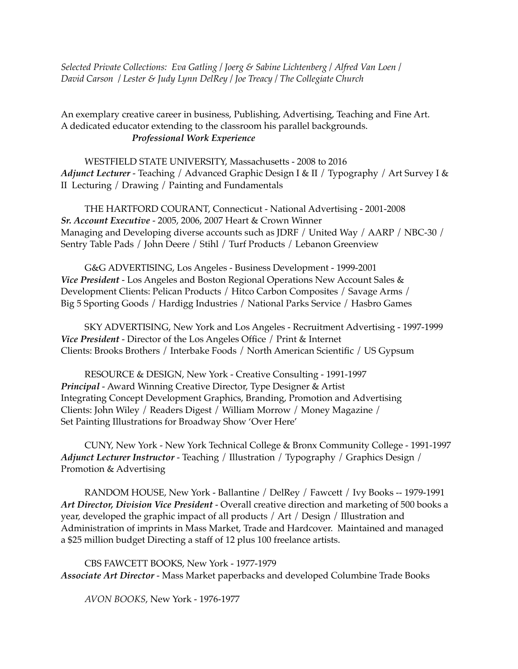*Selected Private Collections: Eva Gatling / Joerg & Sabine Lichtenberg / Alfred Van Loen / David Carson / Lester & Judy Lynn DelRey / Joe Treacy / The Collegiate Church* 

An exemplary creative career in business, Publishing, Advertising, Teaching and Fine Art. A dedicated educator extending to the classroom his parallel backgrounds. *Professional Work Experience* 

WESTFIELD STATE UNIVERSITY, Massachusetts - 2008 to 2016 *Adjunct Lecturer* - Teaching / Advanced Graphic Design I & II / Typography / Art Survey I & II Lecturing / Drawing / Painting and Fundamentals

THE HARTFORD COURANT, Connecticut - National Advertising - 2001-2008 *Sr. Account Executive* - 2005, 2006, 2007 Heart & Crown Winner Managing and Developing diverse accounts such as JDRF / United Way / AARP / NBC-30 / Sentry Table Pads / John Deere / Stihl / Turf Products / Lebanon Greenview

G&G ADVERTISING, Los Angeles - Business Development - 1999-2001 *Vice President* - Los Angeles and Boston Regional Operations New Account Sales & Development Clients: Pelican Products / Hitco Carbon Composites / Savage Arms / Big 5 Sporting Goods / Hardigg Industries / National Parks Service / Hasbro Games

SKY ADVERTISING, New York and Los Angeles - Recruitment Advertising - 1997-1999 *Vice President* - Director of the Los Angeles Office / Print & Internet Clients: Brooks Brothers / Interbake Foods / North American Scientific / US Gypsum

RESOURCE & DESIGN, New York - Creative Consulting - 1991-1997 *Principal* - Award Winning Creative Director, Type Designer & Artist Integrating Concept Development Graphics, Branding, Promotion and Advertising Clients: John Wiley / Readers Digest / William Morrow / Money Magazine / Set Painting Illustrations for Broadway Show 'Over Here'

CUNY, New York - New York Technical College & Bronx Community College - 1991-1997 *Adjunct Lecturer Instructor* - Teaching / Illustration / Typography / Graphics Design / Promotion & Advertising

RANDOM HOUSE, New York - Ballantine / DelRey / Fawcett / Ivy Books -- 1979-1991 *Art Director, Division Vice President* - Overall creative direction and marketing of 500 books a year, developed the graphic impact of all products / Art / Design / Illustration and Administration of imprints in Mass Market, Trade and Hardcover. Maintained and managed a \$25 million budget Directing a staff of 12 plus 100 freelance artists.

CBS FAWCETT BOOKS, New York - 1977-1979 *Associate Art Director* - Mass Market paperbacks and developed Columbine Trade Books

*AVON BOOKS*, New York - 1976-1977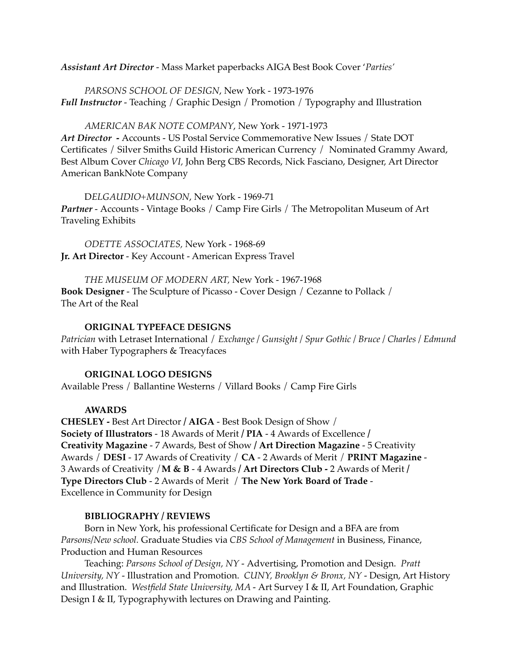*Assistant Art Director* - Mass Market paperbacks AIGA Best Book Cover '*Parties'*

*PARSONS SCHOOL OF DESIGN*, New York - 1973-1976 *Full Instructor* - Teaching / Graphic Design / Promotion / Typography and Illustration

*AMERICAN BAK NOTE COMPANY*, New York - 1971-1973 *Art Director* **-** Accounts - US Postal Service Commemorative New Issues / State DOT Certificates / Silver Smiths Guild Historic American Currency / Nominated Grammy Award, Best Album Cover *Chicago VI,* John Berg CBS Records, Nick Fasciano, Designer, Art Director American BankNote Company

D*ELGAUDIO+MUNSON*, New York - 1969-71 *Partner* - Accounts - Vintage Books / Camp Fire Girls / The Metropolitan Museum of Art Traveling Exhibits

*ODETTE ASSOCIATES,* New York - 1968-69 **Jr. Art Director** - Key Account - American Express Travel

*THE MUSEUM OF MODERN ART,* New York - 1967-1968 **Book Designer** - The Sculpture of Picasso - Cover Design / Cezanne to Pollack / The Art of the Real

### **ORIGINAL TYPEFACE DESIGNS**

*Patrician* with Letraset International / *Exchange / Gunsight / Spur Gothic / Bruce / Charles / Edmund*  with Haber Typographers & Treacyfaces

#### **ORIGINAL LOGO DESIGNS**

Available Press / Ballantine Westerns / Villard Books / Camp Fire Girls

#### **AWARDS**

**CHESLEY -** Best Art Director **/ AIGA** - Best Book Design of Show / **Society of Illustrators** - 18 Awards of Merit **/ PIA** - 4 Awards of Excellence **/ Creativity Magazine** - 7 Awards, Best of Show **/ Art Direction Magazine** - 5 Creativity Awards / **DESI** - 17 Awards of Creativity / **CA** - 2 Awards of Merit / **PRINT Magazine** - 3 Awards of Creativity /**M & B** - 4 Awards **/ Art Directors Club -** 2 Awards of Merit **/ Type Directors Club** - 2 Awards of Merit / **The New York Board of Trade** - Excellence in Community for Design

#### **BIBLIOGRAPHY / REVIEWS**

Born in New York, his professional Certificate for Design and a BFA are from *Parsons/New school.* Graduate Studies via *CBS School of Management* in Business, Finance, Production and Human Resources

Teaching: *Parsons School of Design, NY -* Advertising, Promotion and Design. *Pratt University, NY -* Illustration and Promotion. *CUNY, Brooklyn & Bronx, NY -* Design, Art History and Illustration. *Westfield State University, MA -* Art Survey I & II, Art Foundation, Graphic Design I & II, Typographywith lectures on Drawing and Painting.